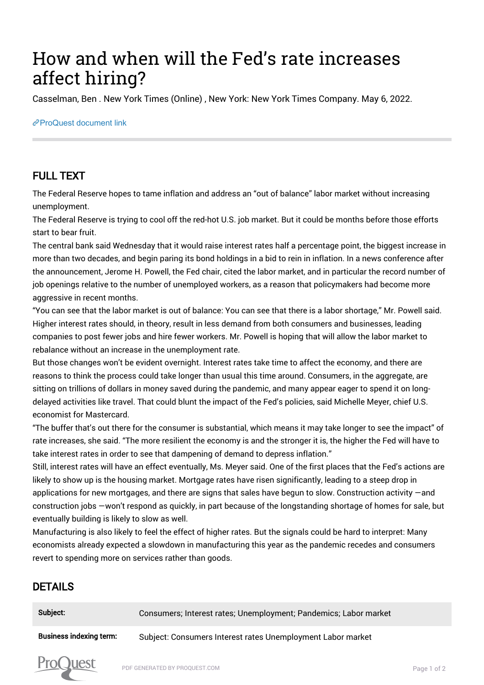# How and when will the Fed's rate increases affect hiring?

Casselman, Ben . New York Times (Online) , New York: New York Times Company. May 6, 2022.

#### [ProQuest document link](https://www.proquest.com/blogs-podcasts-websites/how-when-will-fed-s-rate-increases-affect-hiring/docview/2659923764/se-2?accountid=44910)

# FULL TEXT

The Federal Reserve hopes to tame inflation and address an "out of balance" labor market without increasing unemployment.

The Federal Reserve is trying to cool off the red-hot U.S. job market. But it could be months before those efforts start to bear fruit.

The central bank said Wednesday that it would raise interest rates half a percentage point, the biggest increase in more than two decades, and begin paring its bond holdings in a bid to rein in inflation. In a news conference after the announcement, Jerome H. Powell, the Fed chair, cited the labor market, and in particular the record number of job openings relative to the number of unemployed workers, as a reason that policymakers had become more aggressive in recent months.

"You can see that the labor market is out of balance: You can see that there is a labor shortage," Mr. Powell said. Higher interest rates should, in theory, result in less demand from both consumers and businesses, leading companies to post fewer jobs and hire fewer workers. Mr. Powell is hoping that will allow the labor market to rebalance without an increase in the unemployment rate.

But those changes won't be evident overnight. Interest rates take time to affect the economy, and there are reasons to think the process could take longer than usual this time around. Consumers, in the aggregate, are sitting on trillions of dollars in money saved during the pandemic, and many appear eager to spend it on longdelayed activities like travel. That could blunt the impact of the Fed's policies, said Michelle Meyer, chief U.S. economist for Mastercard.

"The buffer that's out there for the consumer is substantial, which means it may take longer to see the impact" of rate increases, she said. "The more resilient the economy is and the stronger it is, the higher the Fed will have to take interest rates in order to see that dampening of demand to depress inflation."

Still, interest rates will have an effect eventually, Ms. Meyer said. One of the first places that the Fed's actions are likely to show up is the housing market. Mortgage rates have risen significantly, leading to a steep drop in applications for new mortgages, and there are signs that sales have begun to slow. Construction activity —and construction jobs —won't respond as quickly, in part because of the longstanding shortage of homes for sale, but eventually building is likely to slow as well.

Manufacturing is also likely to feel the effect of higher rates. But the signals could be hard to interpret: Many economists already expected a slowdown in manufacturing this year as the pandemic recedes and consumers revert to spending more on services rather than goods.

## DETAILS

Prot

| Subject:                       | Consumers; Interest rates; Unemployment; Pandemics; Labor market |
|--------------------------------|------------------------------------------------------------------|
| <b>Business indexing term:</b> | Subject: Consumers Interest rates Unemployment Labor market      |
|                                |                                                                  |